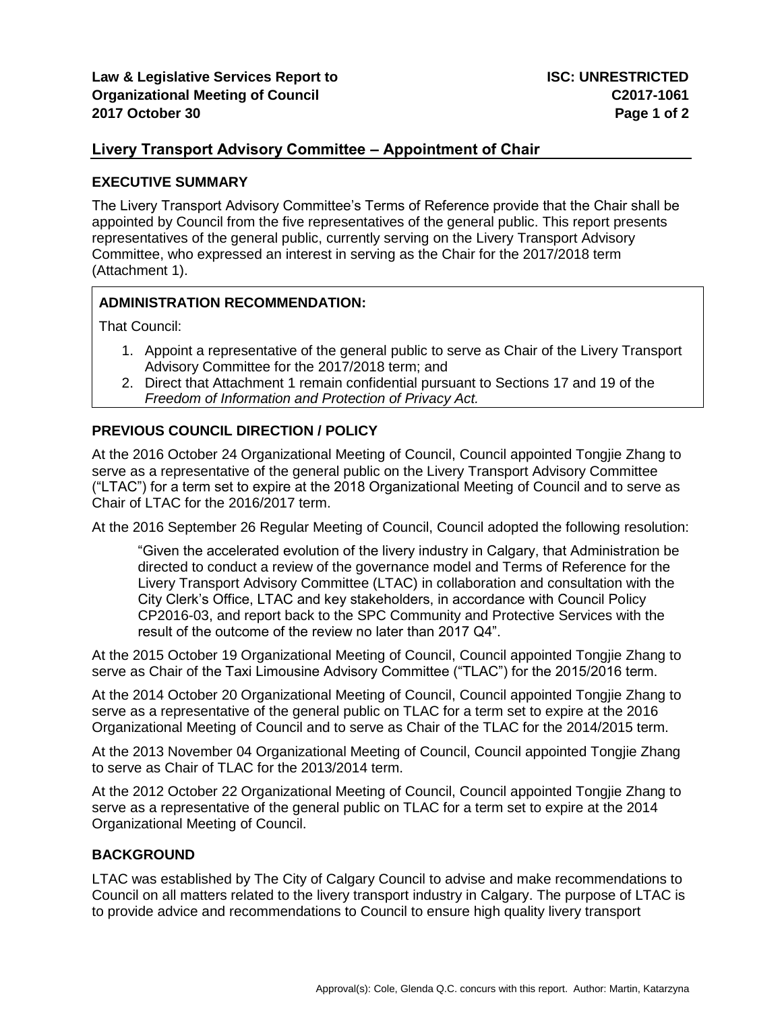## **Livery Transport Advisory Committee – Appointment of Chair**

#### **EXECUTIVE SUMMARY**

The Livery Transport Advisory Committee's Terms of Reference provide that the Chair shall be appointed by Council from the five representatives of the general public. This report presents representatives of the general public, currently serving on the Livery Transport Advisory Committee, who expressed an interest in serving as the Chair for the 2017/2018 term (Attachment 1).

### **ADMINISTRATION RECOMMENDATION:**

That Council:

- 1. Appoint a representative of the general public to serve as Chair of the Livery Transport Advisory Committee for the 2017/2018 term; and
- 2. Direct that Attachment 1 remain confidential pursuant to Sections 17 and 19 of the *Freedom of Information and Protection of Privacy Act.*

### **PREVIOUS COUNCIL DIRECTION / POLICY**

At the 2016 October 24 Organizational Meeting of Council, Council appointed Tongjie Zhang to serve as a representative of the general public on the Livery Transport Advisory Committee ("LTAC") for a term set to expire at the 2018 Organizational Meeting of Council and to serve as Chair of LTAC for the 2016/2017 term.

At the 2016 September 26 Regular Meeting of Council, Council adopted the following resolution:

"Given the accelerated evolution of the livery industry in Calgary, that Administration be directed to conduct a review of the governance model and Terms of Reference for the Livery Transport Advisory Committee (LTAC) in collaboration and consultation with the City Clerk's Office, LTAC and key stakeholders, in accordance with Council Policy CP2016-03, and report back to the SPC Community and Protective Services with the result of the outcome of the review no later than 2017 Q4".

At the 2015 October 19 Organizational Meeting of Council, Council appointed Tongjie Zhang to serve as Chair of the Taxi Limousine Advisory Committee ("TLAC") for the 2015/2016 term.

At the 2014 October 20 Organizational Meeting of Council, Council appointed Tongjie Zhang to serve as a representative of the general public on TLAC for a term set to expire at the 2016 Organizational Meeting of Council and to serve as Chair of the TLAC for the 2014/2015 term.

At the 2013 November 04 Organizational Meeting of Council, Council appointed Tongjie Zhang to serve as Chair of TLAC for the 2013/2014 term.

At the 2012 October 22 Organizational Meeting of Council, Council appointed Tongjie Zhang to serve as a representative of the general public on TLAC for a term set to expire at the 2014 Organizational Meeting of Council.

### **BACKGROUND**

LTAC was established by The City of Calgary Council to advise and make recommendations to Council on all matters related to the livery transport industry in Calgary. The purpose of LTAC is to provide advice and recommendations to Council to ensure high quality livery transport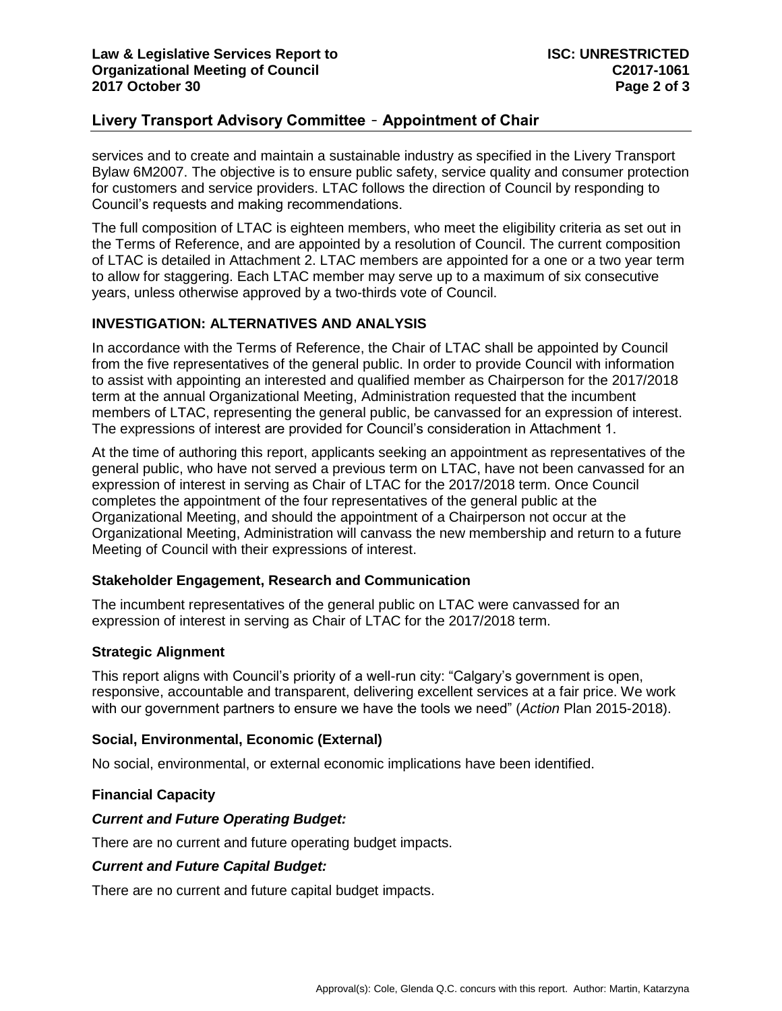# **Livery Transport Advisory Committee** – **Appointment of Chair**

services and to create and maintain a sustainable industry as specified in the Livery Transport Bylaw 6M2007. The objective is to ensure public safety, service quality and consumer protection for customers and service providers. LTAC follows the direction of Council by responding to Council's requests and making recommendations.

The full composition of LTAC is eighteen members, who meet the eligibility criteria as set out in the Terms of Reference, and are appointed by a resolution of Council. The current composition of LTAC is detailed in Attachment 2. LTAC members are appointed for a one or a two year term to allow for staggering. Each LTAC member may serve up to a maximum of six consecutive years, unless otherwise approved by a two-thirds vote of Council.

### **INVESTIGATION: ALTERNATIVES AND ANALYSIS**

In accordance with the Terms of Reference, the Chair of LTAC shall be appointed by Council from the five representatives of the general public. In order to provide Council with information to assist with appointing an interested and qualified member as Chairperson for the 2017/2018 term at the annual Organizational Meeting, Administration requested that the incumbent members of LTAC, representing the general public, be canvassed for an expression of interest. The expressions of interest are provided for Council's consideration in Attachment 1.

At the time of authoring this report, applicants seeking an appointment as representatives of the general public, who have not served a previous term on LTAC, have not been canvassed for an expression of interest in serving as Chair of LTAC for the 2017/2018 term. Once Council completes the appointment of the four representatives of the general public at the Organizational Meeting, and should the appointment of a Chairperson not occur at the Organizational Meeting, Administration will canvass the new membership and return to a future Meeting of Council with their expressions of interest.

## **Stakeholder Engagement, Research and Communication**

The incumbent representatives of the general public on LTAC were canvassed for an expression of interest in serving as Chair of LTAC for the 2017/2018 term.

### **Strategic Alignment**

This report aligns with Council's priority of a well-run city: "Calgary's government is open, responsive, accountable and transparent, delivering excellent services at a fair price. We work with our government partners to ensure we have the tools we need" (*Action* Plan 2015-2018).

### **Social, Environmental, Economic (External)**

No social, environmental, or external economic implications have been identified.

### **Financial Capacity**

### *Current and Future Operating Budget:*

There are no current and future operating budget impacts.

### *Current and Future Capital Budget:*

There are no current and future capital budget impacts.